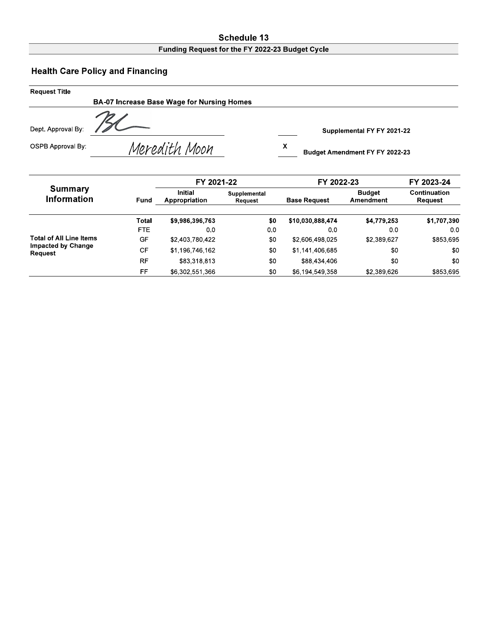#### **Schedule 13** Funding Request for the FY 2022-23 Budget Cycle

# **Health Care Policy and Financing**

| Request Title            |                                            |                                     |
|--------------------------|--------------------------------------------|-------------------------------------|
|                          | BA-07 Increase Base Wage for Nursing Homes |                                     |
| Dept. Approval By:       |                                            | Supplemental FY FY 2021-22          |
| <b>OSPB Approval By:</b> | Meredith Moon                              | х<br>Budget Amendment FY FY 2022-23 |

|                                |           | FY 2021-22                      |                         | FY 2022-23          | FY 2023-24                 |                         |  |
|--------------------------------|-----------|---------------------------------|-------------------------|---------------------|----------------------------|-------------------------|--|
| Summary<br><b>Information</b>  | Fund      | <b>Initial</b><br>Appropriation | Supplemental<br>Request | <b>Base Request</b> | <b>Budget</b><br>Amendment | Continuation<br>Request |  |
|                                | Total     | \$9,986,396,763                 | \$0                     | \$10,030,888,474    | \$4,779,253                | \$1,707,390             |  |
|                                | FTE.      | 00                              | 0.0                     | 0.0                 | 00                         | 0 <sub>0</sub>          |  |
| <b>Total of All Line Items</b> | GF        | \$2,403,780,422                 | \$0                     | \$2,606,498,025     | \$2,389,627                | \$853,695               |  |
| Impacted by Change<br>Request  | CF        | \$1,196,746,162                 | \$0                     | \$1,141,406,685     | \$0                        | \$0                     |  |
|                                | <b>RF</b> | \$83,318,813                    | \$0                     | \$88,434,406        | \$0                        | \$0                     |  |
|                                | FF        | \$6,302,551,366                 | \$0                     | \$6,194,549,358     | \$2,389,626                | \$853,695               |  |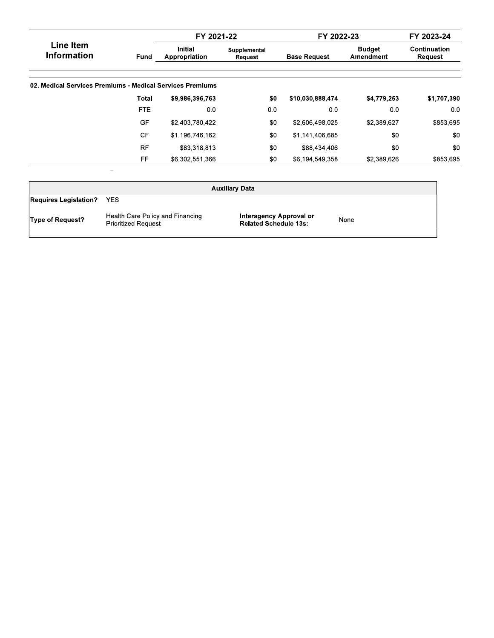|                                                           |            | FY 2021-22                      |                         | FY 2022-23          |                            | FY 2023-24              |
|-----------------------------------------------------------|------------|---------------------------------|-------------------------|---------------------|----------------------------|-------------------------|
| <b>Line Item</b><br><b>Information</b>                    | Fund       | <b>Initial</b><br>Appropriation | Supplemental<br>Request | <b>Base Request</b> | <b>Budget</b><br>Amendment | Continuation<br>Request |
| 02. Medical Services Premiums - Medical Services Premiums |            |                                 |                         |                     |                            |                         |
|                                                           | Total      | \$9,986,396,763                 | \$0                     | \$10,030,888,474    | \$4,779,253                | \$1,707,390             |
|                                                           | <b>FTE</b> | 0.0                             | 0.0                     | 0.0                 | 0.0                        | 0 <sub>0</sub>          |
|                                                           | GF         | \$2,403,780,422                 | \$0                     | \$2,606,498,025     | \$2,389,627                | \$853,695               |
|                                                           | <b>CF</b>  | \$1,196,746,162                 | \$0                     | \$1,141,406,685     | \$0                        | \$0                     |
|                                                           | <b>RF</b>  | \$83,318,813                    | \$0                     | \$88,434,406        | \$0                        | \$0                     |
|                                                           | FF         | \$6,302,551,366                 | \$0                     | \$6,194,549,358     | \$2,389,626                | \$853,695               |

|                              |                                                                | <b>Auxiliary Data</b>                                   |      |  |
|------------------------------|----------------------------------------------------------------|---------------------------------------------------------|------|--|
| <b>Requires Legislation?</b> | YES.                                                           |                                                         |      |  |
| <b>Type of Request?</b>      | Health Care Policy and Financing<br><b>Prioritized Request</b> | Interagency Approval or<br><b>Related Schedule 13s:</b> | None |  |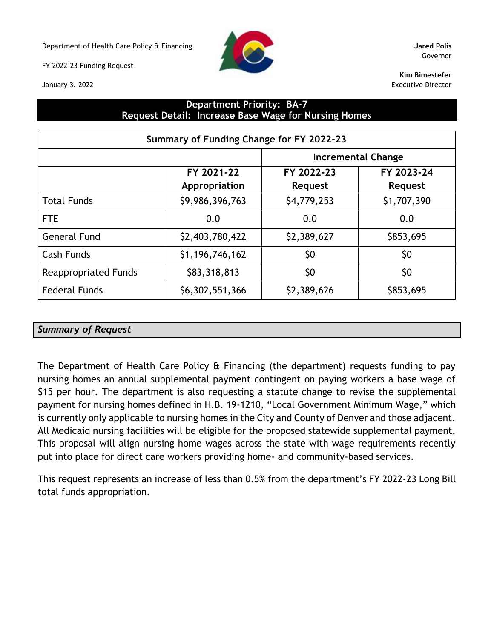Department of Health Care Policy & Financing **Jared Polis**

FY 2022-23 Funding Request

January 3, 2022



Governor

**Kim Bimestefer** Executive Director

### **Department Priority: BA-7 Request Detail: Increase Base Wage for Nursing Homes**

| Summary of Funding Change for FY 2022-23 |                             |                           |                              |  |  |  |  |  |  |
|------------------------------------------|-----------------------------|---------------------------|------------------------------|--|--|--|--|--|--|
|                                          |                             | <b>Incremental Change</b> |                              |  |  |  |  |  |  |
|                                          | FY 2021-22<br>Appropriation | FY 2022-23<br>Request     | FY 2023-24<br><b>Request</b> |  |  |  |  |  |  |
| <b>Total Funds</b>                       | \$9,986,396,763             | \$4,779,253               | \$1,707,390                  |  |  |  |  |  |  |
| <b>FTE</b>                               | 0.0                         | 0.0                       | 0.0                          |  |  |  |  |  |  |
| <b>General Fund</b>                      | \$2,403,780,422             | \$2,389,627               | \$853,695                    |  |  |  |  |  |  |
| Cash Funds                               | \$1,196,746,162             | \$0                       | \$0                          |  |  |  |  |  |  |
| <b>Reappropriated Funds</b>              | \$83,318,813                | \$0                       | \$0                          |  |  |  |  |  |  |
| <b>Federal Funds</b>                     | \$6,302,551,366             | \$2,389,626               | \$853,695                    |  |  |  |  |  |  |

### *Summary of Request*

The Department of Health Care Policy & Financing (the department) requests funding to pay nursing homes an annual supplemental payment contingent on paying workers a base wage of \$15 per hour. The department is also requesting a statute change to revise the supplemental payment for nursing homes defined in H.B. 19-1210, "Local Government Minimum Wage," which is currently only applicable to nursing homes in the City and County of Denver and those adjacent. All Medicaid nursing facilities will be eligible for the proposed statewide supplemental payment. This proposal will align nursing home wages across the state with wage requirements recently put into place for direct care workers providing home- and community-based services.

This request represents an increase of less than 0.5% from the department's FY 2022-23 Long Bill total funds appropriation.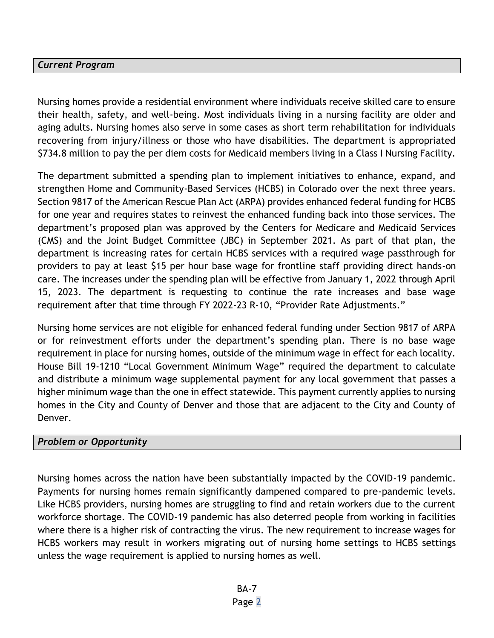### *Current Program*

Nursing homes provide a residential environment where individuals receive skilled care to ensure their health, safety, and well-being. Most individuals living in a nursing facility are older and aging adults. Nursing homes also serve in some cases as short term rehabilitation for individuals recovering from injury/illness or those who have disabilities. The department is appropriated \$734.8 million to pay the per diem costs for Medicaid members living in a Class I Nursing Facility.

The department submitted a spending plan to implement initiatives to enhance, expand, and strengthen Home and Community-Based Services (HCBS) in Colorado over the next three years. Section 9817 of the American Rescue Plan Act (ARPA) provides enhanced federal funding for HCBS for one year and requires states to reinvest the enhanced funding back into those services. The department's proposed plan was approved by the Centers for Medicare and Medicaid Services (CMS) and the Joint Budget Committee (JBC) in September 2021. As part of that plan, the department is increasing rates for certain HCBS services with a required wage passthrough for providers to pay at least \$15 per hour base wage for frontline staff providing direct hands-on care. The increases under the spending plan will be effective from January 1, 2022 through April 15, 2023. The department is requesting to continue the rate increases and base wage requirement after that time through FY 2022-23 R-10, "Provider Rate Adjustments."

Nursing home services are not eligible for enhanced federal funding under Section 9817 of ARPA or for reinvestment efforts under the department's spending plan. There is no base wage requirement in place for nursing homes, outside of the minimum wage in effect for each locality. House Bill 19-1210 "Local Government Minimum Wage" required the department to calculate and distribute a minimum wage supplemental payment for any local government that passes a higher minimum wage than the one in effect statewide. This payment currently applies to nursing homes in the City and County of Denver and those that are adjacent to the City and County of Denver.

### *Problem or Opportunity*

Nursing homes across the nation have been substantially impacted by the COVID-19 pandemic. Payments for nursing homes remain significantly dampened compared to pre-pandemic levels. Like HCBS providers, nursing homes are struggling to find and retain workers due to the current workforce shortage. The COVID-19 pandemic has also deterred people from working in facilities where there is a higher risk of contracting the virus. The new requirement to increase wages for HCBS workers may result in workers migrating out of nursing home settings to HCBS settings unless the wage requirement is applied to nursing homes as well.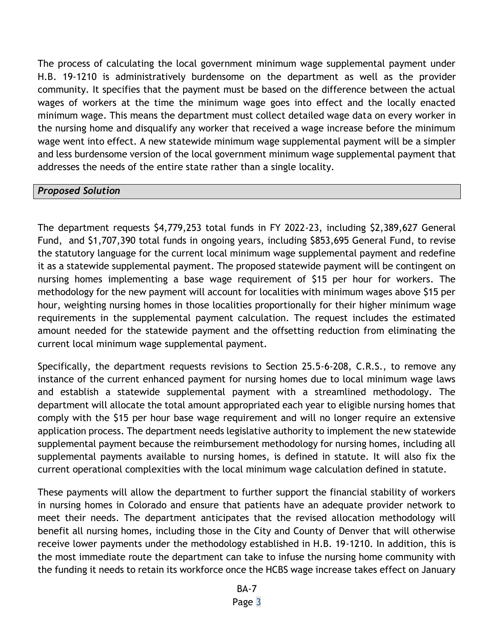The process of calculating the local government minimum wage supplemental payment under H.B. 19-1210 is administratively burdensome on the department as well as the provider community. It specifies that the payment must be based on the difference between the actual wages of workers at the time the minimum wage goes into effect and the locally enacted minimum wage. This means the department must collect detailed wage data on every worker in the nursing home and disqualify any worker that received a wage increase before the minimum wage went into effect. A new statewide minimum wage supplemental payment will be a simpler and less burdensome version of the local government minimum wage supplemental payment that addresses the needs of the entire state rather than a single locality.

#### *Proposed Solution*

The department requests \$4,779,253 total funds in FY 2022-23, including \$2,389,627 General Fund, and \$1,707,390 total funds in ongoing years, including \$853,695 General Fund, to revise the statutory language for the current local minimum wage supplemental payment and redefine it as a statewide supplemental payment. The proposed statewide payment will be contingent on nursing homes implementing a base wage requirement of \$15 per hour for workers. The methodology for the new payment will account for localities with minimum wages above \$15 per hour, weighting nursing homes in those localities proportionally for their higher minimum wage requirements in the supplemental payment calculation. The request includes the estimated amount needed for the statewide payment and the offsetting reduction from eliminating the current local minimum wage supplemental payment.

Specifically, the department requests revisions to Section 25.5-6-208, C.R.S., to remove any instance of the current enhanced payment for nursing homes due to local minimum wage laws and establish a statewide supplemental payment with a streamlined methodology. The department will allocate the total amount appropriated each year to eligible nursing homes that comply with the \$15 per hour base wage requirement and will no longer require an extensive application process. The department needs legislative authority to implement the new statewide supplemental payment because the reimbursement methodology for nursing homes, including all supplemental payments available to nursing homes, is defined in statute. It will also fix the current operational complexities with the local minimum wage calculation defined in statute.

These payments will allow the department to further support the financial stability of workers in nursing homes in Colorado and ensure that patients have an adequate provider network to meet their needs. The department anticipates that the revised allocation methodology will benefit all nursing homes, including those in the City and County of Denver that will otherwise receive lower payments under the methodology established in H.B. 19-1210. In addition, this is the most immediate route the department can take to infuse the nursing home community with the funding it needs to retain its workforce once the HCBS wage increase takes effect on January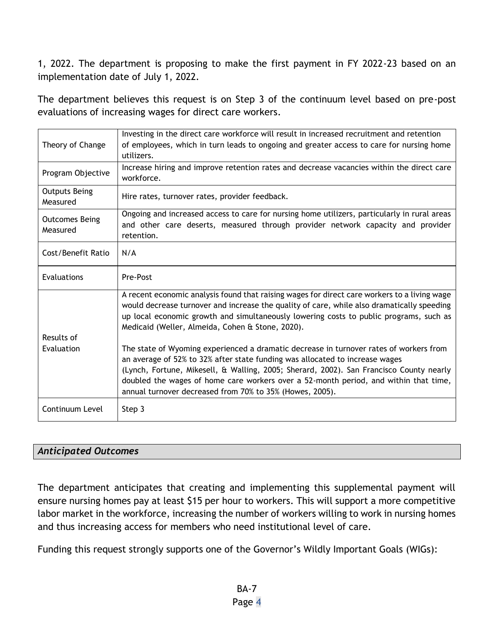1, 2022. The department is proposing to make the first payment in FY 2022-23 based on an implementation date of July 1, 2022.

The department believes this request is on Step 3 of the continuum level based on pre-post evaluations of increasing wages for direct care workers.

| Theory of Change                  | Investing in the direct care workforce will result in increased recruitment and retention<br>of employees, which in turn leads to ongoing and greater access to care for nursing home<br>utilizers.                                                                                                                                                                                                                   |
|-----------------------------------|-----------------------------------------------------------------------------------------------------------------------------------------------------------------------------------------------------------------------------------------------------------------------------------------------------------------------------------------------------------------------------------------------------------------------|
| Program Objective                 | Increase hiring and improve retention rates and decrease vacancies within the direct care<br>workforce.                                                                                                                                                                                                                                                                                                               |
| <b>Outputs Being</b><br>Measured  | Hire rates, turnover rates, provider feedback.                                                                                                                                                                                                                                                                                                                                                                        |
| <b>Outcomes Being</b><br>Measured | Ongoing and increased access to care for nursing home utilizers, particularly in rural areas<br>and other care deserts, measured through provider network capacity and provider<br>retention.                                                                                                                                                                                                                         |
| Cost/Benefit Ratio                | N/A                                                                                                                                                                                                                                                                                                                                                                                                                   |
| Evaluations                       | Pre-Post                                                                                                                                                                                                                                                                                                                                                                                                              |
|                                   | A recent economic analysis found that raising wages for direct care workers to a living wage<br>would decrease turnover and increase the quality of care, while also dramatically speeding<br>up local economic growth and simultaneously lowering costs to public programs, such as<br>Medicaid (Weller, Almeida, Cohen & Stone, 2020).                                                                              |
| Results of                        |                                                                                                                                                                                                                                                                                                                                                                                                                       |
| Evaluation                        | The state of Wyoming experienced a dramatic decrease in turnover rates of workers from<br>an average of 52% to 32% after state funding was allocated to increase wages<br>(Lynch, Fortune, Mikesell, & Walling, 2005; Sherard, 2002). San Francisco County nearly<br>doubled the wages of home care workers over a 52-month period, and within that time,<br>annual turnover decreased from 70% to 35% (Howes, 2005). |
| Continuum Level                   | Step 3                                                                                                                                                                                                                                                                                                                                                                                                                |

## *Anticipated Outcomes*

The department anticipates that creating and implementing this supplemental payment will ensure nursing homes pay at least \$15 per hour to workers. This will support a more competitive labor market in the workforce, increasing the number of workers willing to work in nursing homes and thus increasing access for members who need institutional level of care.

Funding this request strongly supports one of the Governor's Wildly Important Goals (WIGs):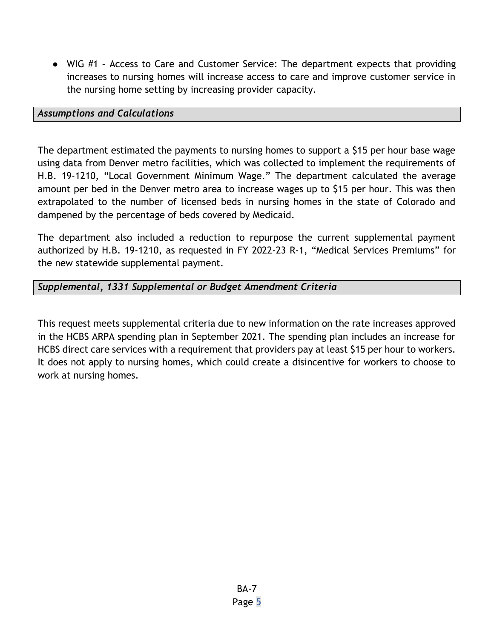● WIG #1 – Access to Care and Customer Service: The department expects that providing increases to nursing homes will increase access to care and improve customer service in the nursing home setting by increasing provider capacity.

#### *Assumptions and Calculations*

The department estimated the payments to nursing homes to support a \$15 per hour base wage using data from Denver metro facilities, which was collected to implement the requirements of H.B. 19-1210, "Local Government Minimum Wage." The department calculated the average amount per bed in the Denver metro area to increase wages up to \$15 per hour. This was then extrapolated to the number of licensed beds in nursing homes in the state of Colorado and dampened by the percentage of beds covered by Medicaid.

The department also included a reduction to repurpose the current supplemental payment authorized by H.B. 19-1210, as requested in FY 2022-23 R-1, "Medical Services Premiums" for the new statewide supplemental payment.

### *Supplemental, 1331 Supplemental or Budget Amendment Criteria*

This request meets supplemental criteria due to new information on the rate increases approved in the HCBS ARPA spending plan in September 2021. The spending plan includes an increase for HCBS direct care services with a requirement that providers pay at least \$15 per hour to workers. It does not apply to nursing homes, which could create a disincentive for workers to choose to work at nursing homes.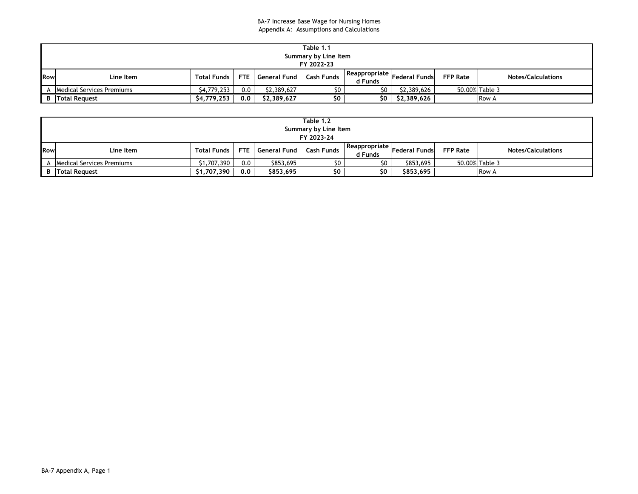#### BA-7 Increase Base Wage for Nursing Homes Appendix A: Assumptions and Calculations

|     | Table 1.1                 |                    |     |                    |            |                            |                       |                 |                           |  |  |
|-----|---------------------------|--------------------|-----|--------------------|------------|----------------------------|-----------------------|-----------------|---------------------------|--|--|
|     | Summary by Line Item      |                    |     |                    |            |                            |                       |                 |                           |  |  |
|     |                           |                    |     |                    | FY 2022-23 |                            |                       |                 |                           |  |  |
| Row | Line Item                 | <b>Total Funds</b> |     | FTE   General Fund | Cash Funds | Reappropriate  <br>d Funds | <b>Federal Fundsl</b> | <b>FFP Rate</b> | <b>Notes/Calculations</b> |  |  |
| A   | Medical Services Premiums | \$4,779,253        | 0.0 | \$2.389.627        | \$0        | \$O                        | \$2,389,626           | 50.00% Table 3  |                           |  |  |
|     | <b>B</b> Total Request    | \$4,779,253        | 0.0 | \$2,389,627        | \$0        | \$0                        | \$2,389,626           |                 | <b>Row A</b>              |  |  |

|     | Table 1.2<br>Summary by Line Item |             |         |                    |            |                          |                      |                 |                           |  |  |
|-----|-----------------------------------|-------------|---------|--------------------|------------|--------------------------|----------------------|-----------------|---------------------------|--|--|
|     |                                   |             |         |                    | FY 2023-24 |                          |                      |                 |                           |  |  |
| Row | Line Item                         | Total Funds |         | FTE General Fund L | Cash Funds | Reappropriate<br>d Funds | <b>Federal Funds</b> | <b>FFP Rate</b> | <b>Notes/Calculations</b> |  |  |
|     | Medical Services Premiums         | \$1.707.390 | $0.0\,$ | \$853,695          | \$0        | \$0                      | \$853,695            | 50.00% Table 3  |                           |  |  |
|     | <b>B</b> Total Request            | \$1,707,390 | 0.0     | \$853,695          | \$0        | \$0                      | \$853,695            |                 | <b>Row A</b>              |  |  |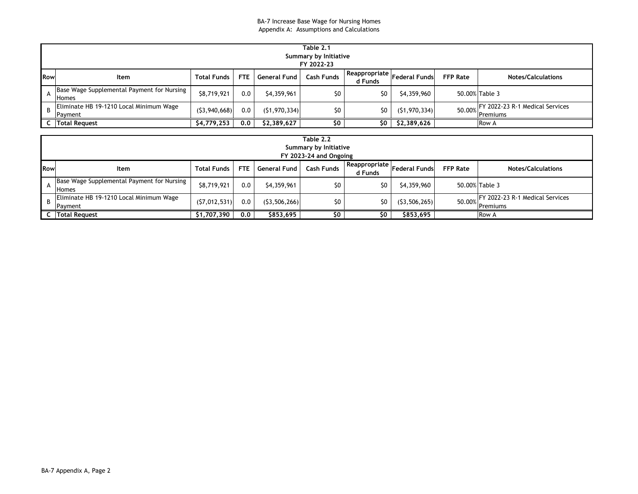|            | Table 2.1<br>Summary by Initiative<br>FY 2022-23           |                    |            |                |                   |                            |                      |                 |                                                    |  |  |
|------------|------------------------------------------------------------|--------------------|------------|----------------|-------------------|----------------------------|----------------------|-----------------|----------------------------------------------------|--|--|
| <b>Row</b> | Item                                                       | <b>Total Funds</b> | <b>FTE</b> | General Fund   | <b>Cash Funds</b> | Reappropriate  <br>d Funds | <b>Federal Funds</b> | <b>FFP Rate</b> | <b>Notes/Calculations</b>                          |  |  |
|            | Base Wage Supplemental Payment for Nursing<br><b>Homes</b> | \$8,719,921        | 0.0        | \$4,359,961    | \$0               | \$0                        | \$4,359,960          |                 | 50.00% Table 3                                     |  |  |
|            | Eliminate HB 19-1210 Local Minimum Wage<br>Payment         | (53,940,668)       | 0.0        | (51, 970, 334) | \$0               | \$0                        | (51, 970, 334)       |                 | FY 2022-23 R-1 Medical Services<br>50.00% Premiums |  |  |
|            | <b>Total Request</b>                                       | \$4,779,253        | 0.0        | \$2,389,627    | \$0               | \$0                        | \$2,389,626          |                 | <b>Row A</b>                                       |  |  |

|              | Table 2.2<br>Summary by Initiative<br>FY 2023-24 and Ongoing |                    |            |                |                   |                          |                      |                 |                                                 |  |  |
|--------------|--------------------------------------------------------------|--------------------|------------|----------------|-------------------|--------------------------|----------------------|-----------------|-------------------------------------------------|--|--|
| <b>I</b> Row | Item                                                         | <b>Total Funds</b> | <b>FTE</b> | General Fund   | <b>Cash Funds</b> | Reappropriate<br>d Funds | <b>Federal Funds</b> | <b>FFP Rate</b> | <b>Notes/Calculations</b>                       |  |  |
| A            | Base Wage Supplemental Payment for Nursing<br><b>Homes</b>   | \$8,719,921        | 0.0        | \$4,359,961    | \$0               | \$0                      | \$4,359,960          |                 | 50.00% Table 3                                  |  |  |
| B            | Eliminate HB 19-1210 Local Minimum Wage<br>Payment           | (57,012,531)       | 0.0        | (53, 506, 266) | \$0               | \$0                      | (53, 506, 265)       | 50.00%          | 2022-23 R-1 Medical Services<br><b>Premiums</b> |  |  |
|              | <b>C</b> Total Request                                       | \$1,707,390        | 0.0        | \$853,695      | \$0               | \$0                      | \$853,695            |                 | <b>Row A</b>                                    |  |  |